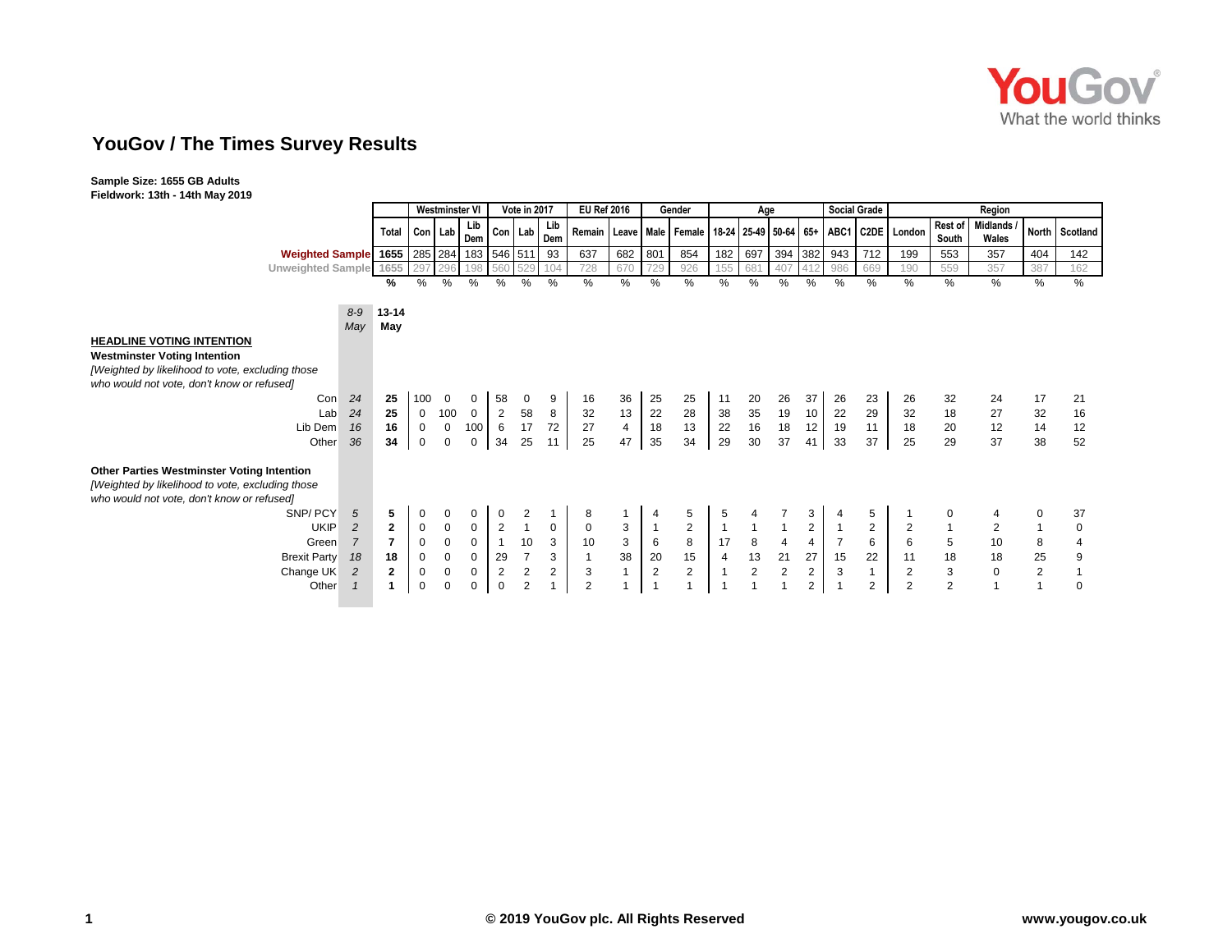

## **YouGov / The Times Survey Results**

**Sample Size: 1655 GB Adults Fieldwork: 13th - 14th May 2019**

|                                                                                                                                                      |                                  | Vote in 2017<br>Westminster VI |                |                | <b>EU Ref 2016</b> |                |                | Gender<br>Age  |              |                         |            | <b>Social Grade</b> | Region         |                         |                |                |                |                                                                                     |                  |                     |                |                |
|------------------------------------------------------------------------------------------------------------------------------------------------------|----------------------------------|--------------------------------|----------------|----------------|--------------------|----------------|----------------|----------------|--------------|-------------------------|------------|---------------------|----------------|-------------------------|----------------|----------------|----------------|-------------------------------------------------------------------------------------|------------------|---------------------|----------------|----------------|
|                                                                                                                                                      | Total                            | Con Lab                        |                | Lib<br>Dem     | Con Lab            |                | Lib<br>Dem     |                |              |                         |            |                     |                |                         |                |                |                | Remain   Leave   Male   Female   18-24   25-49   50-64   65+   ABC1   C2DE   London | Rest of<br>South | Midlands /<br>Wales |                | North Scotland |
| Weighted Sample 1655 285 284 183 546 511                                                                                                             |                                  |                                |                |                |                    |                | 93             | 637            | 682          | 801                     | 854        | 182                 | 697            | 394 382                 |                | 943            | 712            | 199                                                                                 | 553              | 357                 | 404            | 142            |
| <b>Unweighted Sample</b>                                                                                                                             | 1655                             | 29                             | 296            | 198            | 560                |                | 104            | 728            | 670          | 729                     | 926        | 155                 | 681            | 407                     | 412            | 986            | 669            | 190                                                                                 | 559              | 357                 | 387            | 162            |
|                                                                                                                                                      | ℅                                | $\%$                           | $\%$           | %              | %                  | %              | $\%$           | %              | $\%$         | $\%$                    | %          | $\%$                | %              | $\%$                    | $\%$           | $\%$           | %              | $\%$                                                                                | %                | %                   | %              | %              |
|                                                                                                                                                      | $8 - 9$<br>13-14                 |                                |                |                |                    |                |                |                |              |                         |            |                     |                |                         |                |                |                |                                                                                     |                  |                     |                |                |
|                                                                                                                                                      | May<br>May                       |                                |                |                |                    |                |                |                |              |                         |            |                     |                |                         |                |                |                |                                                                                     |                  |                     |                |                |
| <b>HEADLINE VOTING INTENTION</b>                                                                                                                     |                                  |                                |                |                |                    |                |                |                |              |                         |            |                     |                |                         |                |                |                |                                                                                     |                  |                     |                |                |
| <b>Westminster Voting Intention</b>                                                                                                                  |                                  |                                |                |                |                    |                |                |                |              |                         |            |                     |                |                         |                |                |                |                                                                                     |                  |                     |                |                |
| [Weighted by likelihood to vote, excluding those]<br>who would not vote, don't know or refused]                                                      |                                  |                                |                |                |                    |                |                |                |              |                         |            |                     |                |                         |                |                |                |                                                                                     |                  |                     |                |                |
| Con                                                                                                                                                  | 25<br>24                         | 100                            | 0              | 0              | 58                 | 0              | 9              | 16             | 36           | 25                      | 25         | 11                  | 20             | 26                      | 37             | 26             | 23             | 26                                                                                  | 32               | 24                  | 17             | 21             |
| Lab                                                                                                                                                  | 25<br>24                         | $\mathbf 0$                    | 100            | $\overline{0}$ | $\overline{2}$     | 58             | 8              | 32             | 13           | 22                      | 28         | 38                  | 35             | 19                      | 10             | 22             | 29             | 32                                                                                  | 18               | 27                  | 32             | 16             |
| Lib Dem                                                                                                                                              | 16<br>16                         | 0                              | $\mathbf 0$    | 100            | 6                  | 17             | 72             | 27             | 4            | 18                      | 13         | 22                  | $16\,$         | 18                      | 12             | 19             | 11             | 18                                                                                  | 20               | 12                  | 14             | 12             |
| Other                                                                                                                                                | 34<br>36                         | $\mathbf 0$                    | $\mathbf 0$    | $\mathbf 0$    | 34                 | 25             | 11             | 25             | 47           | 35                      | 34         | 29                  | 30             | 37                      | 41             | 33             | 37             | 25                                                                                  | 29               | 37                  | 38             | 52             |
| <b>Other Parties Westminster Voting Intention</b><br>[Weighted by likelihood to vote, excluding those]<br>who would not vote, don't know or refused] |                                  |                                |                |                |                    |                |                |                |              |                         |            |                     |                |                         |                |                |                |                                                                                     |                  |                     |                |                |
| SNP/PCY                                                                                                                                              | 5<br>5                           | 0                              | 0              | 0              | 0                  | 2              |                | 8              |              | 4                       | 5          | 5                   | 4              |                         | 3              |                | 5              |                                                                                     |                  | 4                   | 0              | 37             |
| <b>UKIP</b>                                                                                                                                          | $\overline{2}$<br>$\overline{2}$ | 0                              | $\mathbf 0$    | 0              | $\overline{2}$     |                | $\mathbf{0}$   | $\mathbf 0$    | 3            | $\overline{1}$          | $\sqrt{2}$ | $\overline{1}$      |                |                         | $\overline{2}$ |                | 2              | $\overline{2}$                                                                      |                  | $\overline{2}$      | $\overline{1}$ | 0              |
| Green                                                                                                                                                | $\overline{7}$<br>7              | $\mathbf 0$                    | $\overline{0}$ | $\mathbf 0$    | $\overline{1}$     | 10             | 3              | 10             | $\sqrt{3}$   | $\,6\,$                 | $\bf8$     | 17                  | $\bf 8$        | $\overline{\mathbf{4}}$ | 4              | $\overline{7}$ | 6              | 6                                                                                   | $\,$ 5 $\,$      | $10$                | 8              | $\overline{4}$ |
| <b>Brexit Party</b>                                                                                                                                  | 18<br>18                         | $\mathbf 0$                    | $\mathbf 0$    | $\mathbf 0$    | 29                 | $\overline{7}$ | 3              | $\mathbf{1}$   | 38           | $20\,$                  | 15         | 4                   | 13             | 21                      | 27             | 15             | 22             | 11                                                                                  | $18$             | $18$                | 25             | 9              |
| Change UK                                                                                                                                            | $\overline{c}$<br>$\mathbf{2}$   | 0                              | $\mathbf 0$    | $\mathbf 0$    | $\sqrt{2}$         | $\overline{c}$ | $\overline{2}$ | 3              | $\mathbf{1}$ | $\sqrt{2}$              | $\sqrt{2}$ | $\overline{1}$      | $\overline{c}$ | $\sqrt{2}$              | $\overline{a}$ | 3              | $\mathbf{1}$   | $\mathbf{2}$                                                                        | $\mathbf{3}$     | $\mathbf 0$         | $\sqrt{2}$     |                |
| Other                                                                                                                                                | $\blacktriangleleft$             | $\mathbf 0$                    | $\Omega$       | 0              | $\mathbf 0$        | 2              |                | $\overline{2}$ |              | $\overline{\mathbf{1}}$ |            |                     |                | $\overline{1}$          | 2              |                | $\overline{2}$ | 2                                                                                   | 2                |                     | $\overline{1}$ | $\Omega$       |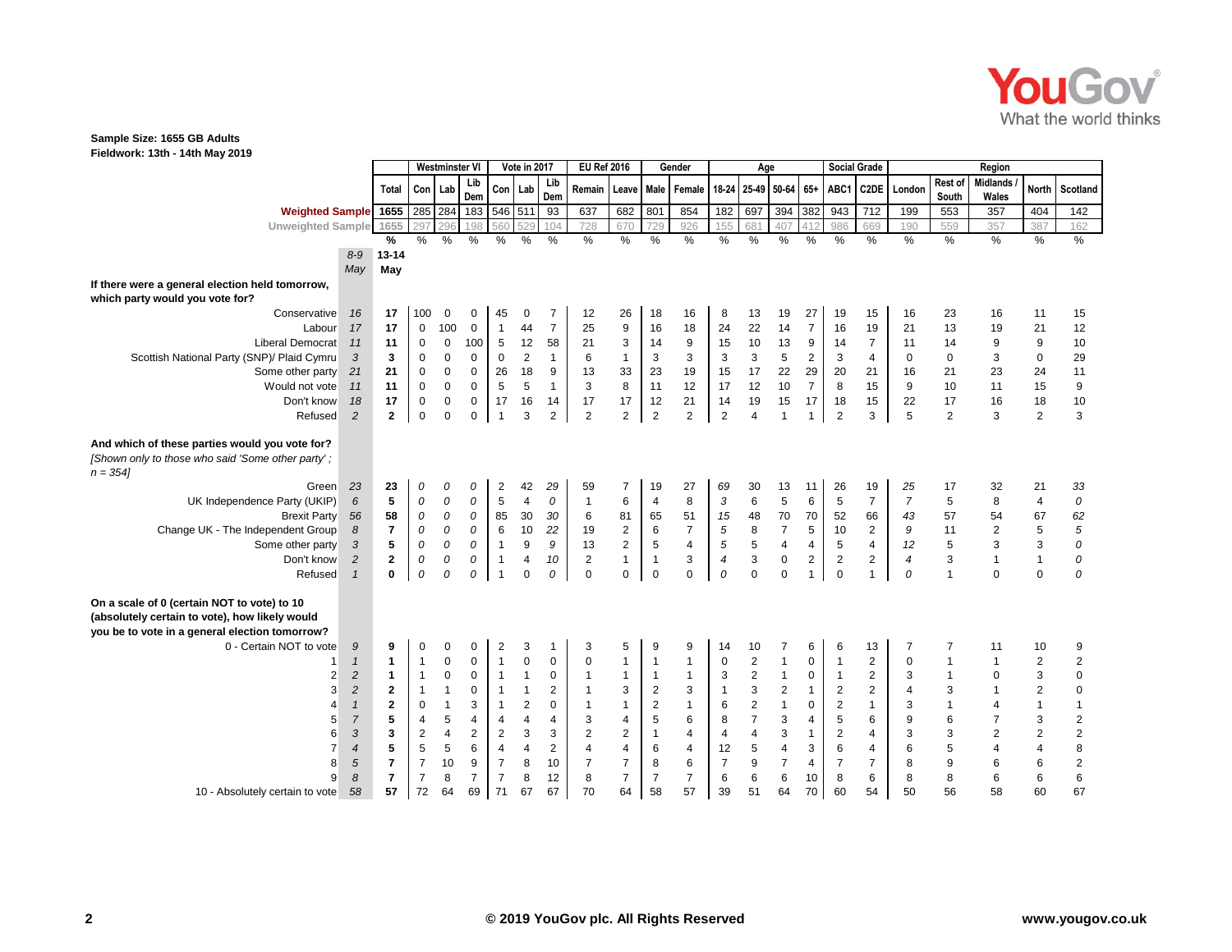

## **Sample Size: 1655 GB Adults**

**Fieldwork: 13th - 14th May 2019**

|                                                                                                                                                 |                  |                         | <b>Westminster VI</b> |                  |                     |                         |                         | Vote in 2017     |                         | <b>EU Ref 2016</b>        |                         | Gender                  |                           | Age               |                          |                         |                         | <b>Social Grade</b> |                         |                         |                          |                           |                                             |
|-------------------------------------------------------------------------------------------------------------------------------------------------|------------------|-------------------------|-----------------------|------------------|---------------------|-------------------------|-------------------------|------------------|-------------------------|---------------------------|-------------------------|-------------------------|---------------------------|-------------------|--------------------------|-------------------------|-------------------------|---------------------|-------------------------|-------------------------|--------------------------|---------------------------|---------------------------------------------|
|                                                                                                                                                 |                  | Total                   | Con Lab               |                  | Lib<br>Dem          |                         | Con Lab                 | Lib<br>Dem       | Remain                  |                           |                         | Leave Male Female       |                           | 18-24 25-49 50-64 |                          | $65+$                   | ABC1                    | C <sub>2</sub> DE   | London                  | Rest of<br>South        | <b>Midlands</b><br>Wales | <b>North</b>              | Scotland                                    |
| Weighted Sample 1655                                                                                                                            |                  |                         | 285 284               |                  | 183                 | 546 511                 |                         | 93               | 637                     | 682                       | 801                     | 854                     | 182                       | 697               | 394                      | 382                     | 943                     | 712                 | 199                     | 553                     | 357                      | 404                       | 142                                         |
| Unweighted Sample 1655                                                                                                                          |                  |                         | 297                   | 296              | 198                 | 560                     | 529                     | 104              | 728                     | 670                       | 729                     | 926                     | 155                       | 681               | 407                      | 412                     | 986                     | 669                 | 190                     | 559                     | 357                      | 387                       | 162                                         |
|                                                                                                                                                 |                  | $\%$                    | $\frac{0}{0}$         | $\%$             | $\frac{9}{6}$       | $\frac{9}{6}$           | $\%$                    | $\frac{0}{2}$    | $\frac{9}{6}$           | %                         | $\frac{9}{6}$           | $\frac{0}{0}$           | %                         | $\frac{0}{6}$     | $\%$                     | $\frac{9}{6}$           | $\frac{9}{6}$           | $\frac{9}{6}$       | $\frac{0}{0}$           | $\frac{0}{6}$           | %                        | $\frac{0}{0}$             | $\frac{9}{6}$                               |
|                                                                                                                                                 | $8-9$            | 13-14                   |                       |                  |                     |                         |                         |                  |                         |                           |                         |                         |                           |                   |                          |                         |                         |                     |                         |                         |                          |                           |                                             |
|                                                                                                                                                 | May              | May                     |                       |                  |                     |                         |                         |                  |                         |                           |                         |                         |                           |                   |                          |                         |                         |                     |                         |                         |                          |                           |                                             |
| If there were a general election held tomorrow,<br>which party would you vote for?                                                              |                  |                         |                       |                  |                     |                         |                         |                  |                         |                           |                         |                         |                           |                   |                          |                         |                         |                     |                         |                         |                          |                           |                                             |
| Conservative                                                                                                                                    | 16               | 17                      | 100                   | $\mathbf 0$      | $\mathbf 0$         | 45                      | 0                       | $\overline{7}$   | 12                      | 26                        | 18                      | 16                      | 8                         | 13                | 19                       | 27                      | 19                      | 15                  | 16                      | 23                      | 16                       | 11                        | 15                                          |
| Labour                                                                                                                                          | 17               | 17                      | $\pmb{0}$             | 100              | $\mathbf 0$         | $\overline{1}$          | 44                      | $\overline{7}$   | 25                      | $\boldsymbol{9}$          | 16                      | 18                      | 24                        | 22                | 14                       | $\overline{7}$          | 16                      | 19                  | 21                      | 13                      | 19                       | 21                        | 12                                          |
| Liberal Democrat                                                                                                                                | 11               | 11                      | $\pmb{0}$             | $\pmb{0}$        | 100                 | $\sqrt{5}$              | 12                      | 58               | 21                      | $\ensuremath{\mathsf{3}}$ | 14                      | 9                       | 15                        | $10$              | 13                       | 9                       | 14                      | $\overline{7}$      | 11                      | 14                      | 9                        | 9                         | 10                                          |
| Scottish National Party (SNP)/ Plaid Cymru                                                                                                      | 3                | $\mathbf{3}$            | $\mathbf 0$           | $\mathbf 0$      | $\mathsf{O}\xspace$ | $\pmb{0}$               | $\mathbf 2$             | $\mathbf{1}$     | 6                       | $\mathbf{1}$              | 3                       | 3                       | 3                         | $\mathbf{3}$      | 5                        | $\mathbf 2$             | $\mathbf{3}$            | 4                   | $\pmb{0}$               | $\pmb{0}$               | 3                        | $\mathbf 0$               | 29                                          |
| Some other party                                                                                                                                | 21               | 21                      | $\mathbf 0$           | $\mathsf 0$      | $\mathbf 0$         | 26                      | 18                      | 9                | 13                      | 33                        | 23                      | 19                      | 15                        | 17                | 22                       | 29                      | 20                      | 21                  | 16                      | 21                      | 23                       | 24                        | 11                                          |
| Would not vote                                                                                                                                  | 11               | 11                      | $\mathbf 0$           | $\mathsf 0$      | $\mathbf 0$         | 5                       | 5                       | $\overline{1}$   | 3                       | 8                         | 11                      | 12                      | 17                        | 12                | 10                       | $\overline{7}$          | 8                       | 15                  | 9                       | $10$                    | 11                       | 15                        | 9                                           |
| Don't know                                                                                                                                      | 18               | 17                      | $\mathbf 0$           | $\boldsymbol{0}$ | $\pmb{0}$           | 17                      | 16                      | 14               | 17                      | 17                        | 12                      | 21                      | 14                        | 19                | 15                       | 17                      | 18                      | 15                  | 22                      | 17                      | 16                       | 18                        | 10                                          |
| Refused                                                                                                                                         | $\overline{2}$   | $\mathbf{2}$            | $\mathbf 0$           | $\mathbf 0$      | 0                   | $\overline{1}$          | 3                       | $\overline{2}$   | $\overline{c}$          | $\overline{c}$            | $\overline{2}$          | $\overline{c}$          | $\overline{2}$            | $\overline{4}$    | $\overline{1}$           | $\mathbf{1}$            | $\overline{2}$          | 3                   | 5                       | $\overline{c}$          | 3                        | $\overline{2}$            | 3                                           |
| And which of these parties would you vote for?<br>[Shown only to those who said 'Some other party';<br>$n = 3541$                               |                  |                         |                       |                  |                     |                         |                         |                  |                         |                           |                         |                         |                           |                   |                          |                         |                         |                     |                         |                         |                          |                           |                                             |
| Green                                                                                                                                           | 23               | 23                      | 0                     | 0                | 0                   | 2                       | 42                      | 29               | 59                      | 7                         | 19                      | 27                      | 69                        | 30                | 13                       | 11                      | 26                      | 19                  | 25                      | 17                      | 32                       | 21                        | 33                                          |
| UK Independence Party (UKIP)                                                                                                                    | $\boldsymbol{6}$ | ${\bf 5}$               | ${\cal O}$            | ${\cal O}$       | ${\cal O}$          | $\sqrt{5}$              | $\overline{\mathbf{4}}$ | ${\cal O}$       | $\mathbf{1}$            | $\,$ 6 $\,$               | $\overline{\mathbf{4}}$ | 8                       | $\sqrt{3}$                | $\,6\,$           | 5                        | 6                       | $\overline{5}$          | $\overline{7}$      | $\overline{7}$          | $\mathbf 5$             | 8                        | $\overline{4}$            | ${\cal O}$                                  |
| <b>Brexit Party</b>                                                                                                                             | 56               | 58                      | ${\cal O}$            | $\cal O$         | ${\cal O}$          | 85                      | 30                      | 30               | $\,6\,$                 | 81                        | 65                      | 51                      | 15                        | 48                | 70                       | 70                      | 52                      | 66                  | 43                      | 57                      | 54                       | 67                        | $\begin{array}{c} 62 \\ 5 \\ 0 \end{array}$ |
| Change UK - The Independent Group                                                                                                               | $\delta$         | $\overline{7}$          | ${\cal O}$            | ${\cal O}$       | ${\cal O}$          | $\,6\,$                 | $10\,$                  | 22               | 19                      | $\overline{\mathbf{c}}$   | $\,6\,$                 | $\boldsymbol{7}$        | $\sqrt{5}$                | $\bf8$            | $\overline{\mathcal{I}}$ | $\mathbf 5$             | 10                      | $\boldsymbol{2}$    | $\boldsymbol{9}$        | 11                      | $\sqrt{2}$               | $\,$ 5 $\,$               |                                             |
| Some other party                                                                                                                                | 3                | ${\bf 5}$               | 0                     | ${\cal O}$       | ${\cal O}$          | $\overline{1}$          | 9                       | $\boldsymbol{g}$ | 13                      | $\overline{c}$            | $\overline{5}$          | 4                       | $\sqrt{5}$                | $\sqrt{5}$        | $\overline{\mathbf{4}}$  | $\overline{\mathbf{4}}$ | $\sqrt{5}$              | $\overline{4}$      | 12                      | $\overline{5}$          | $\mathsf 3$              | $\sqrt{3}$                |                                             |
| Don't know                                                                                                                                      | $\sqrt{2}$       | $\mathbf 2$             | 0                     | ${\cal O}$       | 0                   | $\mathbf{1}$            | 4                       | 10               | $\overline{c}$          | $\mathbf{1}$              | $\mathbf{1}$            | 3                       | $\overline{\mathcal{A}}$  | $\mathbf 3$       | $\pmb{0}$                | $\overline{\mathbf{c}}$ | $\overline{\mathbf{c}}$ | 2                   | $\pmb{4}$               | $\mathsf 3$             | $\mathbf{1}$             | $\mathbf{1}$              | $\cal O$                                    |
| Refused                                                                                                                                         | $\mathbf{1}$     | $\mathbf 0$             | 0                     | 0                | 0                   | $\overline{1}$          | $\Omega$                | 0                | $\Omega$                | $\mathsf 0$               | $\pmb{0}$               | $\mathbf 0$             | 0                         | $\Omega$          | $\mathbf 0$              | $\mathbf{1}$            | $\overline{0}$          | $\mathbf{1}$        | 0                       | $\overline{1}$          | $\Omega$                 | $\mathbf 0$               | 0                                           |
| On a scale of 0 (certain NOT to vote) to 10<br>(absolutely certain to vote), how likely would<br>you be to vote in a general election tomorrow? |                  |                         |                       |                  |                     |                         |                         |                  |                         |                           |                         |                         |                           |                   |                          |                         |                         |                     |                         |                         |                          |                           |                                             |
| 0 - Certain NOT to vote                                                                                                                         | $\cal{G}$        | 9                       | 0                     | $\mathbf 0$      | 0                   | $\overline{2}$          | 3                       | $\mathbf{1}$     | 3                       | 5                         | 9                       | 9                       | 14                        | 10                | 7                        | 6                       | 6                       | 13                  | $\overline{7}$          | $\overline{7}$          | 11                       | 10                        | 9                                           |
|                                                                                                                                                 | $\mathbf{1}$     | $\mathbf{1}$            | $\overline{1}$        | $\pmb{0}$        | $\mathbf 0$         | $\overline{1}$          | $\mathbf 0$             | $\mathbf 0$      | $\mathbf 0$             | $\mathbf{1}$              | $\overline{1}$          | $\mathbf{1}$            | $\mathbf 0$               | $\sqrt{2}$        | $\mathbf{1}$             | 0                       | $\overline{1}$          | $\mathbf{2}$        | 0                       | $\overline{1}$          | $\mathbf{1}$             | $\overline{c}$            | $\overline{\mathbf{c}}$                     |
| $\overline{2}$                                                                                                                                  | $\overline{c}$   | $\mathbf{1}$            | $\overline{1}$        | $\mathbf 0$      | $\pmb{0}$           | $\overline{1}$          | $\mathbf{1}$            | 0                | $\overline{1}$          | $\mathbf{1}$              | $\overline{1}$          | $\mathbf{1}$            | $\ensuremath{\mathsf{3}}$ | $\sqrt{2}$        | $\mathbf{1}$             | $\pmb{0}$               | $\overline{1}$          | 2                   | 3                       | $\overline{\mathbf{1}}$ | 0                        | $\ensuremath{\mathsf{3}}$ | $\pmb{0}$                                   |
| 3                                                                                                                                               | $\sqrt{2}$       | $\overline{2}$          | $\overline{1}$        | $\mathbf{1}$     | 0                   | $\overline{1}$          | $\mathbf{1}$            | $\overline{2}$   | $\overline{1}$          | $\ensuremath{\mathsf{3}}$ | $\sqrt{2}$              | 3                       | $\mathbf{1}$              | $\mathbf 3$       | $\sqrt{2}$               | $\mathbf{1}$            | $\sqrt{2}$              | $\overline{c}$      | $\overline{\mathbf{4}}$ | $\mathbf{3}$            | $\mathbf{1}$             | $\sqrt{2}$                | $\mathbf 0$                                 |
| 4                                                                                                                                               | $\mathbf{1}$     | $\overline{2}$          | $\mathbf 0$           | $\overline{1}$   | 3                   | $\overline{1}$          | $\boldsymbol{2}$        | 0                |                         | $\mathbf{1}$              | $\mathbf 2$             | $\mathbf{1}$            | 6                         | $\mathbf 2$       | $\mathbf{1}$             | $\pmb{0}$               | $\sqrt{2}$              | $\mathbf{1}$        | 3                       | $\overline{1}$          | 4                        | $\mathbf{1}$              | $\mathbf{1}$                                |
| 5                                                                                                                                               | $\overline{7}$   | ${\bf 5}$               | 4                     | 5                | 4                   | $\overline{\mathbf{4}}$ | 4                       | 4                | $\sqrt{3}$              | $\overline{\mathbf{4}}$   | $\mathbf 5$             | $\,6$                   | $\,8\,$                   | $\overline{7}$    | $\mathsf 3$              | $\overline{\mathbf{4}}$ | 5                       | 6                   | 9                       | $\,6\,$                 | $\overline{7}$           | $\sqrt{3}$                |                                             |
| 6                                                                                                                                               | 3                | $\mathbf 3$             | $\sqrt{2}$            | $\pmb{4}$        | $\sqrt{2}$          | $\sqrt{2}$              | 3                       | 3                | $\overline{\mathbf{c}}$ | $\sqrt{2}$                | $\overline{1}$          | $\overline{\mathbf{4}}$ | 4                         | $\overline{4}$    | $\mathsf 3$              | $\mathbf{1}$            | $\sqrt{2}$              | 4                   | 3                       | $\mathbf{3}$            | $\overline{c}$           | $\sqrt{2}$                | $\begin{array}{c} 2 \\ 2 \end{array}$       |
| $\overline{7}$                                                                                                                                  | 4                | $\overline{\mathbf{5}}$ | 5                     | 5                | $\,6$               | $\overline{\mathbf{4}}$ | 4                       | $\overline{c}$   | $\overline{\mathbf{4}}$ | $\overline{\mathbf{4}}$   | $\,6\,$                 | 4                       | 12                        | $\overline{5}$    | $\overline{\mathbf{4}}$  | $\sqrt{3}$              | $\boldsymbol{6}$        | 4                   | 6                       | $\mathbf 5$             | 4                        | $\overline{\mathbf{4}}$   | 8                                           |
| 8                                                                                                                                               | $\sqrt{5}$       | $\overline{7}$          | $\overline{7}$        | 10               | 9                   | $\overline{7}$          | 8                       | 10               | $\overline{7}$          | $\boldsymbol{7}$          | 8                       | 6                       | $\boldsymbol{7}$          | 9                 | $\boldsymbol{7}$         | 4                       | $\overline{7}$          | $\boldsymbol{7}$    | 8                       | $\boldsymbol{9}$        | 6                        | $\,6$                     | $\begin{array}{c} 2 \\ 6 \end{array}$       |
| 9                                                                                                                                               | 8                | $\overline{7}$          | $\overline{7}$        | 8                | $\overline{7}$      | $\overline{7}$          | 8                       | 12               | 8                       | $\overline{7}$            | $\overline{7}$          | 7                       | 6                         | $\,6$             | $\,6\,$                  | 10                      | 8                       | 6                   | 8                       | 8                       | 6                        | 6                         |                                             |
| 10 - Absolutely certain to vote                                                                                                                 | 58               | 57                      | 72                    | 64               | 69                  | 71                      | 67                      | 67               | 70                      | 64                        | 58                      | 57                      | 39                        | 51                | 64                       | 70                      | 60                      | 54                  | 50                      | 56                      | 58                       | 60                        | 67                                          |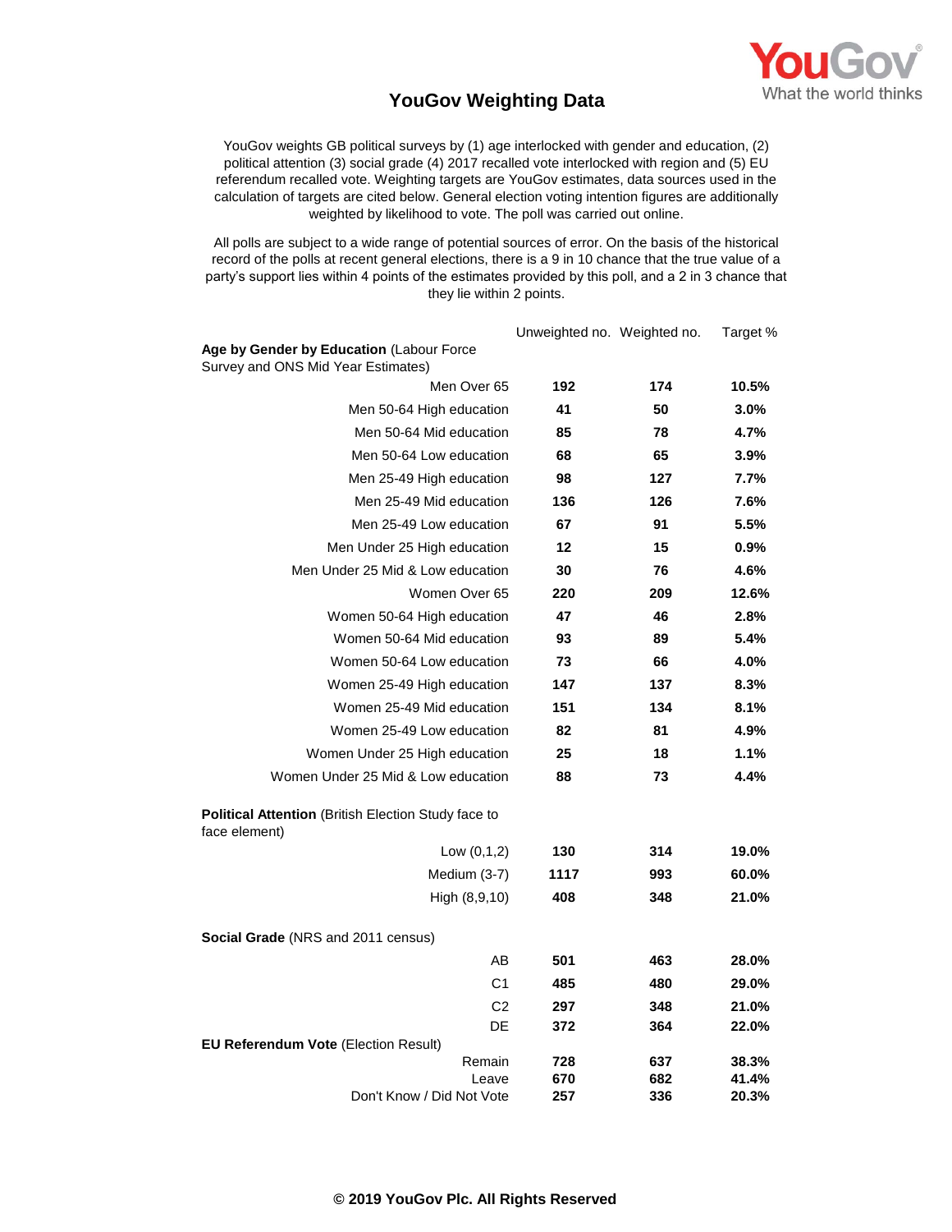

## **YouGov Weighting Data**

YouGov weights GB political surveys by (1) age interlocked with gender and education, (2) political attention (3) social grade (4) 2017 recalled vote interlocked with region and (5) EU referendum recalled vote. Weighting targets are YouGov estimates, data sources used in the calculation of targets are cited below. General election voting intention figures are additionally weighted by likelihood to vote. The poll was carried out online.

All polls are subject to a wide range of potential sources of error. On the basis of the historical record of the polls at recent general elections, there is a 9 in 10 chance that the true value of a party's support lies within 4 points of the estimates provided by this poll, and a 2 in 3 chance that they lie within 2 points.

|                                                                                | Unweighted no. Weighted no. |            | Target %       |
|--------------------------------------------------------------------------------|-----------------------------|------------|----------------|
| Age by Gender by Education (Labour Force<br>Survey and ONS Mid Year Estimates) |                             |            |                |
| Men Over 65                                                                    | 192                         | 174        | 10.5%          |
| Men 50-64 High education                                                       | 41                          | 50         | 3.0%           |
| Men 50-64 Mid education                                                        | 85                          | 78         | 4.7%           |
| Men 50-64 Low education                                                        | 68                          | 65         | 3.9%           |
| Men 25-49 High education                                                       | 98                          | 127        | 7.7%           |
| Men 25-49 Mid education                                                        | 136                         | 126        | 7.6%           |
| Men 25-49 Low education                                                        | 67                          | 91         | 5.5%           |
| Men Under 25 High education                                                    | 12                          | 15         | 0.9%           |
| Men Under 25 Mid & Low education                                               | 30                          | 76         | 4.6%           |
| Women Over 65                                                                  | 220                         | 209        | 12.6%          |
| Women 50-64 High education                                                     | 47                          | 46         | 2.8%           |
| Women 50-64 Mid education                                                      | 93                          | 89         | 5.4%           |
| Women 50-64 Low education                                                      | 73                          | 66         | 4.0%           |
| Women 25-49 High education                                                     | 147                         | 137        | 8.3%           |
| Women 25-49 Mid education                                                      | 151                         | 134        | 8.1%           |
| Women 25-49 Low education                                                      | 82                          | 81         | 4.9%           |
| Women Under 25 High education                                                  | 25                          | 18         | 1.1%           |
| Women Under 25 Mid & Low education                                             | 88                          | 73         | 4.4%           |
| <b>Political Attention (British Election Study face to</b><br>face element)    |                             |            |                |
| Low $(0,1,2)$                                                                  | 130                         | 314        | 19.0%          |
| Medium (3-7)                                                                   | 1117                        | 993        | 60.0%          |
| High (8,9,10)                                                                  | 408                         | 348        | 21.0%          |
| Social Grade (NRS and 2011 census)                                             |                             |            |                |
| AB                                                                             | 501                         | 463        | 28.0%          |
| C <sub>1</sub>                                                                 | 485                         | 480        | 29.0%          |
| C <sub>2</sub>                                                                 | 297                         | 348        | 21.0%          |
| DE                                                                             | 372                         | 364        | 22.0%          |
| <b>EU Referendum Vote (Election Result)</b>                                    |                             |            |                |
| Remain<br>Leave                                                                | 728<br>670                  | 637<br>682 | 38.3%<br>41.4% |
| Don't Know / Did Not Vote                                                      | 257                         | 336        | 20.3%          |